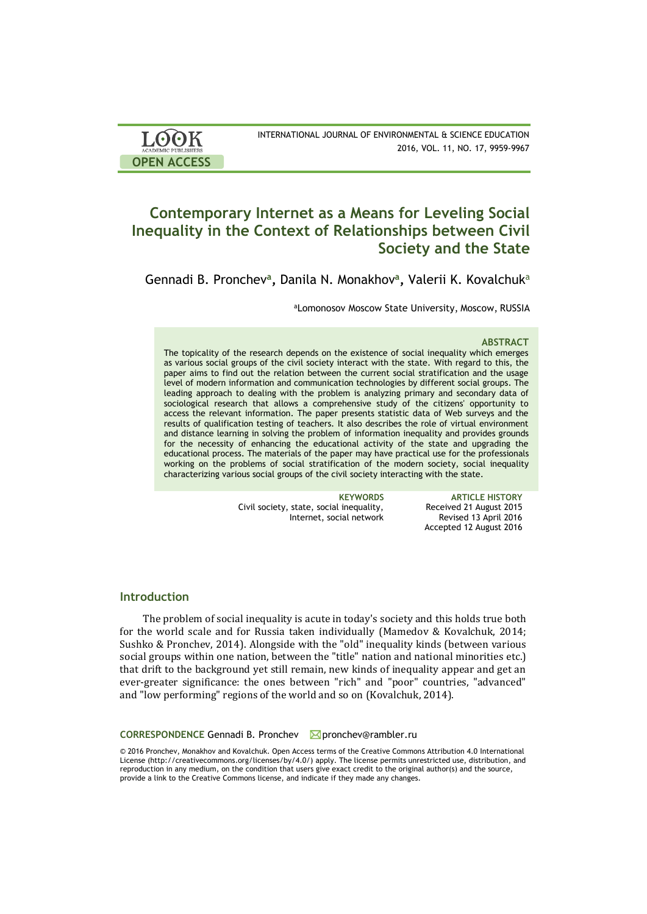| <b>LOOK</b>                | INTERNATIONAL JOURNAL OF ENVIRONMENTAL & SCIENCE EDUCATION |
|----------------------------|------------------------------------------------------------|
| <b>ACADEMIC PUBLISHERS</b> | 2016, VOL. 11, NO. 17, 9959-9967                           |
| <b>OPEN ACCESS</b>         |                                                            |

# **Contemporary Internet as a Means for Leveling Social Inequality in the Context of Relationships between Civil Society and the State**

Gennadi B. Pronchev**<sup>a</sup> ,** Danila N. Monakhov**<sup>a</sup> ,** Valerii K. Kovalchuk<sup>a</sup>

aLomonosov Moscow State University, Moscow, RUSSIA

### **ABSTRACT**

The topicality of the research depends on the existence of social inequality which emerges as various social groups of the civil society interact with the state. With regard to this, the paper aims to find out the relation between the current social stratification and the usage level of modern information and communication technologies by different social groups. The leading approach to dealing with the problem is analyzing primary and secondary data of sociological research that allows a comprehensive study of the citizens' opportunity to access the relevant information. The paper presents statistic data of Web surveys and the results of qualification testing of teachers. It also describes the role of virtual environment and distance learning in solving the problem of information inequality and provides grounds for the necessity of enhancing the educational activity of the state and upgrading the educational process. The materials of the paper may have practical use for the professionals working on the problems of social stratification of the modern society, social inequality characterizing various social groups of the civil society interacting with the state.

> Civil society, state, social inequality, Internet, social network

**KEYWORDS ARTICLE HISTORY** Received 21 August 2015 Revised 13 April 2016 Accepted 12 August 2016

## **Introduction**

The problem of social inequality is acute in today's society and this holds true both for the world scale and for Russia taken individually (Mamedov & Kovalchuk, 2014; Sushko & Pronchev, 2014). Alongside with the "old" inequality kinds (between various social groups within one nation, between the "title" nation and national minorities etc.) that drift to the background yet still remain, new kinds of inequality appear and get an ever-greater significance: the ones between "rich" and "poor" countries, "advanced" and "low performing" regions of the world and so on (Kovalchuk, 2014).

**CORRESPONDENCE** Gennadi B. Pronchev **⊠**pronchev@rambler.ru

© 2016 Pronchev, Monakhov and Kovalchuk. Open Access terms of the Creative Commons Attribution 4.0 International License (http://creativecommons.org/licenses/by/4.0/) apply. The license permits unrestricted use, distribution, and reproduction in any medium, on the condition that users give exact credit to the original author(s) and the source, provide a link to the Creative Commons license, and indicate if they made any changes.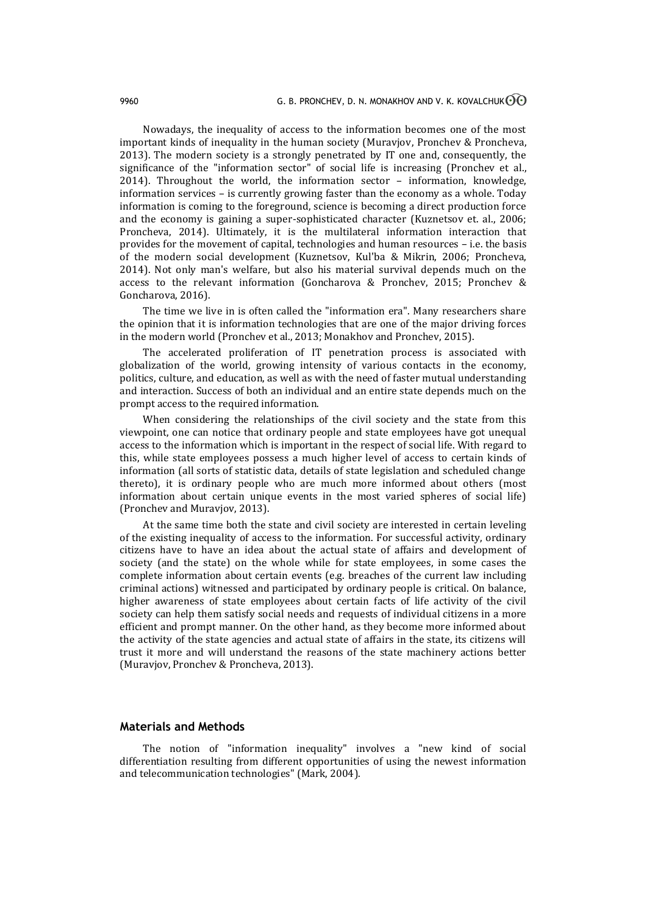Nowadays, the inequality of access to the information becomes one of the most important kinds of inequality in the human society (Muravjov, Pronchev & Proncheva, 2013). The modern society is a strongly penetrated by IT one and, consequently, the significance of the "information sector" of social life is increasing (Pronchev et al., 2014). Throughout the world, the information sector – information, knowledge, information services – is currently growing faster than the economy as a whole. Today information is coming to the foreground, science is becoming a direct production force and the economy is gaining a super-sophisticated character (Kuznetsov et. al., 2006; Proncheva, 2014). Ultimately, it is the multilateral information interaction that provides for the movement of capital, technologies and human resources – i.e. the basis of the modern social development (Kuznetsov, Kul'ba & Mikrin, 2006; Proncheva, 2014). Not only man's welfare, but also his material survival depends much on the access to the relevant information (Goncharova & Pronchev, 2015; Pronchev & Goncharova, 2016).

The time we live in is often called the "information era". Many researchers share the opinion that it is information technologies that are one of the major driving forces in the modern world (Pronchev et al., 2013; Monakhov and Pronchev, 2015).

The accelerated proliferation of IT penetration process is associated with globalization of the world, growing intensity of various contacts in the economy, politics, culture, and education, as well as with the need of faster mutual understanding and interaction. Success of both an individual and an entire state depends much on the prompt access to the required information.

When considering the relationships of the civil society and the state from this viewpoint, one can notice that ordinary people and state employees have got unequal access to the information which is important in the respect of social life. With regard to this, while state employees possess a much higher level of access to certain kinds of information (all sorts of statistic data, details of state legislation and scheduled change thereto), it is ordinary people who are much more informed about others (most information about certain unique events in the most varied spheres of social life) (Pronchev and Muravjov, 2013).

At the same time both the state and civil society are interested in certain leveling of the existing inequality of access to the information. For successful activity, ordinary citizens have to have an idea about the actual state of affairs and development of society (and the state) on the whole while for state employees, in some cases the complete information about certain events (e.g. breaches of the current law including criminal actions) witnessed and participated by ordinary people is critical. On balance, higher awareness of state employees about certain facts of life activity of the civil society can help them satisfy social needs and requests of individual citizens in a more efficient and prompt manner. On the other hand, as they become more informed about the activity of the state agencies and actual state of affairs in the state, its citizens will trust it more and will understand the reasons of the state machinery actions better (Muravjov, Pronchev & Proncheva, 2013).

### **Materials and Methods**

The notion of "information inequality" involves a "new kind of social differentiation resulting from different opportunities of using the newest information and telecommunication technologies" (Mark, 2004).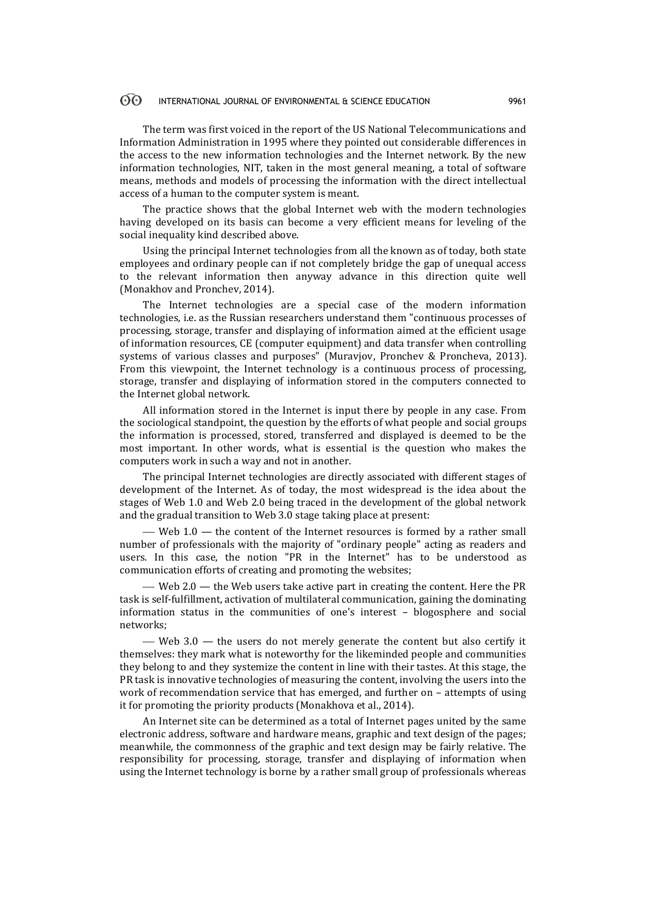#### $\odot$ INTERNATIONAL JOURNAL OF ENVIRONMENTAL & SCIENCE EDUCATION 9961

The term was first voiced in the report of the US National Telecommunications and Information Administration in 1995 where they pointed out considerable differences in the access to the new information technologies and the Internet network. By the new information technologies, NIT, taken in the most general meaning, a total of software means, methods and models of processing the information with the direct intellectual access of a human to the computer system is meant.

The practice shows that the global Internet web with the modern technologies having developed on its basis can become a very efficient means for leveling of the social inequality kind described above.

Using the principal Internet technologies from all the known as of today, both state employees and ordinary people can if not completely bridge the gap of unequal access to the relevant information then anyway advance in this direction quite well (Monakhov and Pronchev, 2014).

The Internet technologies are a special case of the modern information technologies, i.e. as the Russian researchers understand them "continuous processes of processing, storage, transfer and displaying of information aimed at the efficient usage of information resources, CE (computer equipment) and data transfer when controlling systems of various classes and purposes" (Muravjov, Pronchev & Proncheva, 2013). From this viewpoint, the Internet technology is a continuous process of processing, storage, transfer and displaying of information stored in the computers connected to the Internet global network.

All information stored in the Internet is input there by people in any case. From the sociological standpoint, the question by the efforts of what people and social groups the information is processed, stored, transferred and displayed is deemed to be the most important. In other words, what is essential is the question who makes the computers work in such a way and not in another.

The principal Internet technologies are directly associated with different stages of development of the Internet. As of today, the most widespread is the idea about the stages of Web 1.0 and Web 2.0 being traced in the development of the global network and the gradual transition to Web 3.0 stage taking place at present:

— Web 1.0 — the content of the Internet resources is formed by a rather small number of professionals with the majority of "ordinary people" acting as readers and users. In this case, the notion "PR in the Internet" has to be understood as communication efforts of creating and promoting the websites;

 $-$  Web 2.0  $-$  the Web users take active part in creating the content. Here the PR task is self-fulfillment, activation of multilateral communication, gaining the dominating information status in the communities of one's interest – blogosphere and social networks;

— Web  $3.0$  — the users do not merely generate the content but also certify it themselves: they mark what is noteworthy for the likeminded people and communities they belong to and they systemize the content in line with their tastes. At this stage, the PR task is innovative technologies of measuring the content, involving the users into the work of recommendation service that has emerged, and further on – attempts of using it for promoting the priority products (Monakhova et al., 2014).

An Internet site can be determined as a total of Internet pages united by the same electronic address, software and hardware means, graphic and text design of the pages; meanwhile, the commonness of the graphic and text design may be fairly relative. The responsibility for processing, storage, transfer and displaying of information when using the Internet technology is borne by a rather small group of professionals whereas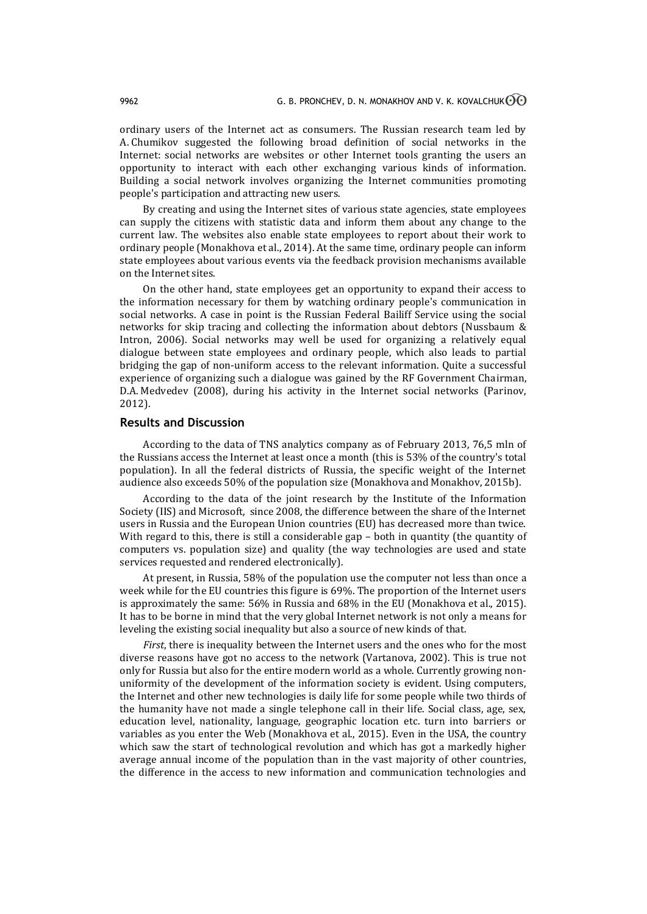ordinary users of the Internet act as consumers. The Russian research team led by A. Chumikov suggested the following broad definition of social networks in the Internet: social networks are websites or other Internet tools granting the users an opportunity to interact with each other exchanging various kinds of information. Building a social network involves organizing the Internet communities promoting people's participation and attracting new users.

By creating and using the Internet sites of various state agencies, state employees can supply the citizens with statistic data and inform them about any change to the current law. The websites also enable state employees to report about their work to ordinary people (Monakhova et al., 2014). At the same time, ordinary people can inform state employees about various events via the feedback provision mechanisms available on the Internet sites.

On the other hand, state employees get an opportunity to expand their access to the information necessary for them by watching ordinary people's communication in social networks. A case in point is the Russian Federal Bailiff Service using the social networks for skip tracing and collecting the information about debtors (Nussbaum & Intron, 2006). Social networks may well be used for organizing a relatively equal dialogue between state employees and ordinary people, which also leads to partial bridging the gap of non-uniform access to the relevant information. Quite a successful experience of organizing such a dialogue was gained by the RF Government Chairman, D.A. Medvedev (2008), during his activity in the Internet social networks (Parinov, 2012).

# **Results and Discussion**

According to the data of TNS analytics company as of February 2013, 76,5 mln of the Russians access the Internet at least once a month (this is 53% of the country's total population). In all the federal districts of Russia, the specific weight of the Internet audience also exceeds 50% of the population size (Monakhova and Monakhov, 2015b).

According to the data of the joint research by the Institute of the Information Society (IIS) and Microsoft, since 2008, the difference between the share of the Internet users in Russia and the European Union countries (EU) has decreased more than twice. With regard to this, there is still a considerable gap – both in quantity (the quantity of computers vs. population size) and quality (the way technologies are used and state services requested and rendered electronically).

At present, in Russia, 58% of the population use the computer not less than once a week while for the EU countries this figure is 69%. The proportion of the Internet users is approximately the same: 56% in Russia and 68% in the EU (Monakhova et al., 2015). It has to be borne in mind that the very global Internet network is not only a means for leveling the existing social inequality but also a source of new kinds of that.

*First*, there is inequality between the Internet users and the ones who for the most diverse reasons have got no access to the network (Vartanova, 2002). This is true not only for Russia but also for the entire modern world as a whole. Currently growing nonuniformity of the development of the information society is evident. Using computers, the Internet and other new technologies is daily life for some people while two thirds of the humanity have not made a single telephone call in their life. Social class, age, sex, education level, nationality, language, geographic location etc. turn into barriers or variables as you enter the Web (Monakhova et al., 2015). Even in the USA, the country which saw the start of technological revolution and which has got a markedly higher average annual income of the population than in the vast majority of other countries, the difference in the access to new information and communication technologies and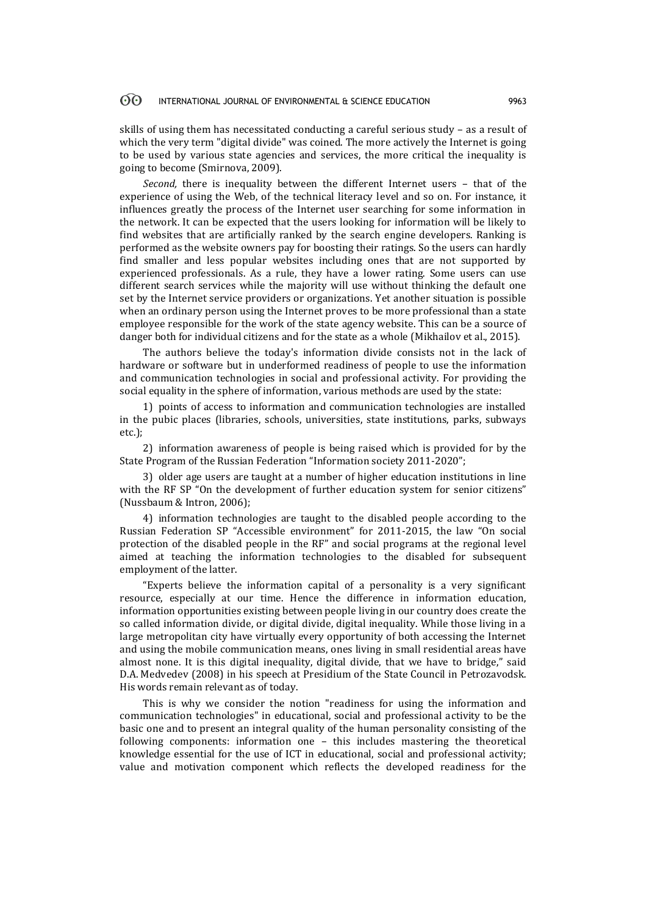#### 60 INTERNATIONAL JOURNAL OF ENVIRONMENTAL & SCIENCE EDUCATION 9963

skills of using them has necessitated conducting a careful serious study – as a result of which the very term "digital divide" was coined. The more actively the Internet is going to be used by various state agencies and services, the more critical the inequality is going to become (Smirnova, 2009).

*Second,* there is inequality between the different Internet users – that of the experience of using the Web, of the technical literacy level and so on. For instance, it influences greatly the process of the Internet user searching for some information in the network. It can be expected that the users looking for information will be likely to find websites that are artificially ranked by the search engine developers. Ranking is performed as the website owners pay for boosting their ratings. So the users can hardly find smaller and less popular websites including ones that are not supported by experienced professionals. As a rule, they have a lower rating. Some users can use different search services while the majority will use without thinking the default one set by the Internet service providers or organizations. Yet another situation is possible when an ordinary person using the Internet proves to be more professional than a state employee responsible for the work of the state agency website. This can be a source of danger both for individual citizens and for the state as a whole (Mikhailov et al., 2015).

The authors believe the today's information divide consists not in the lack of hardware or software but in underformed readiness of people to use the information and communication technologies in social and professional activity. For providing the social equality in the sphere of information, various methods are used by the state:

1) points of access to information and communication technologies are installed in the pubic places (libraries, schools, universities, state institutions, parks, subways etc.);

2) information awareness of people is being raised which is provided for by the State Program of the Russian Federation "Information society 2011-2020";

3) older age users are taught at a number of higher education institutions in line with the RF SP "On the development of further education system for senior citizens" (Nussbaum & Intron, 2006);

4) information technologies are taught to the disabled people according to the Russian Federation SP "Accessible environment" for 2011-2015, the law "On social protection of the disabled people in the RF" and social programs at the regional level aimed at teaching the information technologies to the disabled for subsequent employment of the latter.

"Experts believe the information capital of a personality is a very significant resource, especially at our time. Hence the difference in information education, information opportunities existing between people living in our country does create the so called information divide, or digital divide, digital inequality. While those living in a large metropolitan city have virtually every opportunity of both accessing the Internet and using the mobile communication means, ones living in small residential areas have almost none. It is this digital inequality, digital divide, that we have to bridge," said D.A. Medvedev (2008) in his speech at Presidium of the State Council in Petrozavodsk. His words remain relevant as of today.

This is why we consider the notion "readiness for using the information and communication technologies" in educational, social and professional activity to be the basic one and to present an integral quality of the human personality consisting of the following components: information one – this includes mastering the theoretical knowledge essential for the use of ICT in educational, social and professional activity; value and motivation component which reflects the developed readiness for the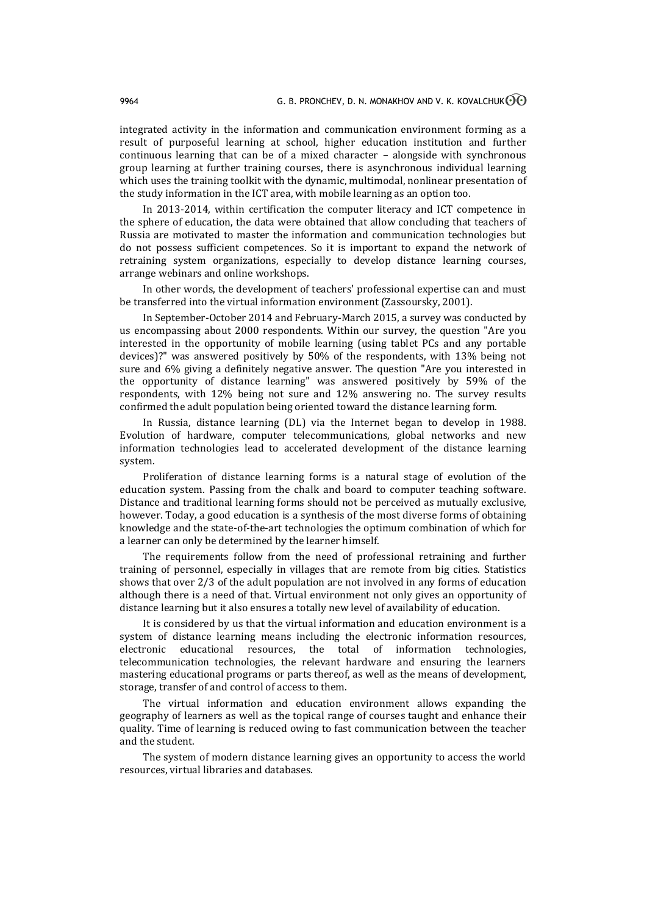integrated activity in the information and communication environment forming as a result of purposeful learning at school, higher education institution and further continuous learning that can be of a mixed character – alongside with synchronous group learning at further training courses, there is asynchronous individual learning which uses the training toolkit with the dynamic, multimodal, nonlinear presentation of the study information in the ICT area, with mobile learning as an option too.

In 2013-2014, within certification the computer literacy and ICT competence in the sphere of education, the data were obtained that allow concluding that teachers of Russia are motivated to master the information and communication technologies but do not possess sufficient competences. So it is important to expand the network of retraining system organizations, especially to develop distance learning courses, arrange webinars and online workshops.

In other words, the development of teachers' professional expertise can and must be transferred into the virtual information environment (Zassoursky, 2001).

In September-October 2014 and February-March 2015, a survey was conducted by us encompassing about 2000 respondents. Within our survey, the question "Are you interested in the opportunity of mobile learning (using tablet PCs and any portable devices)?" was answered positively by 50% of the respondents, with 13% being not sure and 6% giving a definitely negative answer. The question "Are you interested in the opportunity of distance learning" was answered positively by 59% of the respondents, with 12% being not sure and 12% answering no. The survey results confirmed the adult population being oriented toward the distance learning form.

In Russia, distance learning (DL) via the Internet began to develop in 1988. Evolution of hardware, computer telecommunications, global networks and new information technologies lead to accelerated development of the distance learning system.

Proliferation of distance learning forms is a natural stage of evolution of the education system. Passing from the chalk and board to computer teaching software. Distance and traditional learning forms should not be perceived as mutually exclusive, however. Today, a good education is a synthesis of the most diverse forms of obtaining knowledge and the state-of-the-art technologies the optimum combination of which for a learner can only be determined by the learner himself.

The requirements follow from the need of professional retraining and further training of personnel, especially in villages that are remote from big cities. Statistics shows that over 2/3 of the adult population are not involved in any forms of education although there is a need of that. Virtual environment not only gives an opportunity of distance learning but it also ensures a totally new level of availability of education.

It is considered by us that the virtual information and education environment is a system of distance learning means including the electronic information resources, electronic educational resources, the total of information technologies, telecommunication technologies, the relevant hardware and ensuring the learners mastering educational programs or parts thereof, as well as the means of development, storage, transfer of and control of access to them.

The virtual information and education environment allows expanding the geography of learners as well as the topical range of courses taught and enhance their quality. Time of learning is reduced owing to fast communication between the teacher and the student.

The system of modern distance learning gives an opportunity to access the world resources, virtual libraries and databases.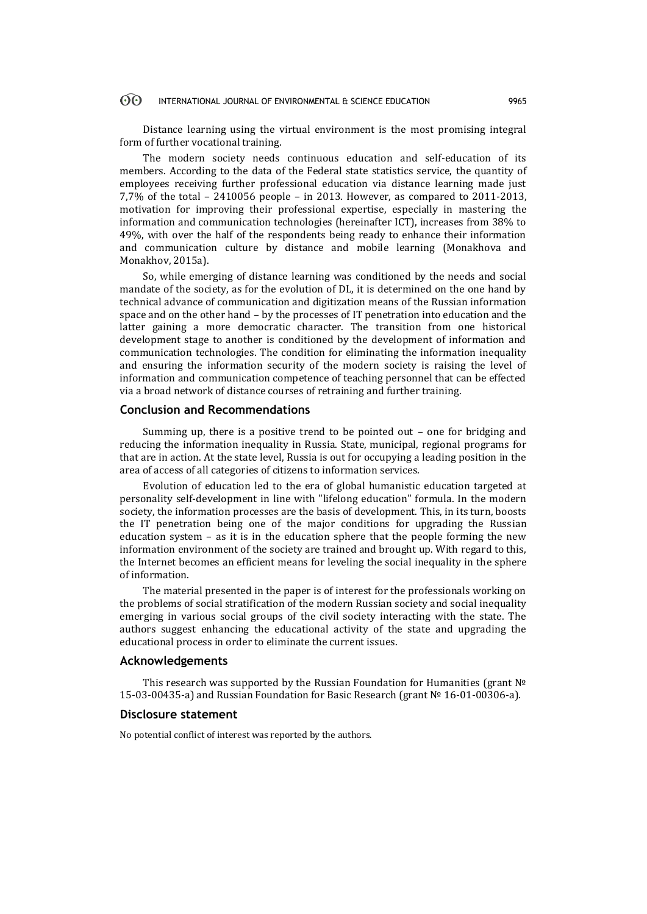#### $\odot$ INTERNATIONAL JOURNAL OF ENVIRONMENTAL & SCIENCE EDUCATION 9965

Distance learning using the virtual environment is the most promising integral form of further vocational training.

The modern society needs continuous education and self-education of its members. According to the data of the Federal state statistics service, the quantity of employees receiving further professional education via distance learning made just 7,7% of the total – 2410056 people – in 2013. However, as compared to 2011-2013, motivation for improving their professional expertise, especially in mastering the information and communication technologies (hereinafter ICT), increases from 38% to 49%, with over the half of the respondents being ready to enhance their information and communication culture by distance and mobile learning (Monakhova and Monakhov, 2015a).

So, while emerging of distance learning was conditioned by the needs and social mandate of the society, as for the evolution of DL, it is determined on the one hand by technical advance of communication and digitization means of the Russian information space and on the other hand – by the processes of IT penetration into education and the latter gaining a more democratic character. The transition from one historical development stage to another is conditioned by the development of information and communication technologies. The condition for eliminating the information inequality and ensuring the information security of the modern society is raising the level of information and communication competence of teaching personnel that can be effected via a broad network of distance courses of retraining and further training.

### **Conclusion and Recommendations**

Summing up, there is a positive trend to be pointed out – one for bridging and reducing the information inequality in Russia. State, municipal, regional programs for that are in action. At the state level, Russia is out for occupying a leading position in the area of access of all categories of citizens to information services.

Evolution of education led to the era of global humanistic education targeted at personality self-development in line with "lifelong education" formula. In the modern society, the information processes are the basis of development. This, in its turn, boosts the IT penetration being one of the major conditions for upgrading the Russian education system – as it is in the education sphere that the people forming the new information environment of the society are trained and brought up. With regard to this, the Internet becomes an efficient means for leveling the social inequality in the sphere of information.

The material presented in the paper is of interest for the professionals working on the problems of social stratification of the modern Russian society and social inequality emerging in various social groups of the civil society interacting with the state. The authors suggest enhancing the educational activity of the state and upgrading the educational process in order to eliminate the current issues.

## **Acknowledgements**

This research was supported by the Russian Foundation for Humanities (grant № 15-03-00435-а) and Russian Foundation for Basic Research (grant № 16-01-00306-а).

### **Disclosure statement**

No potential conflict of interest was reported by the authors.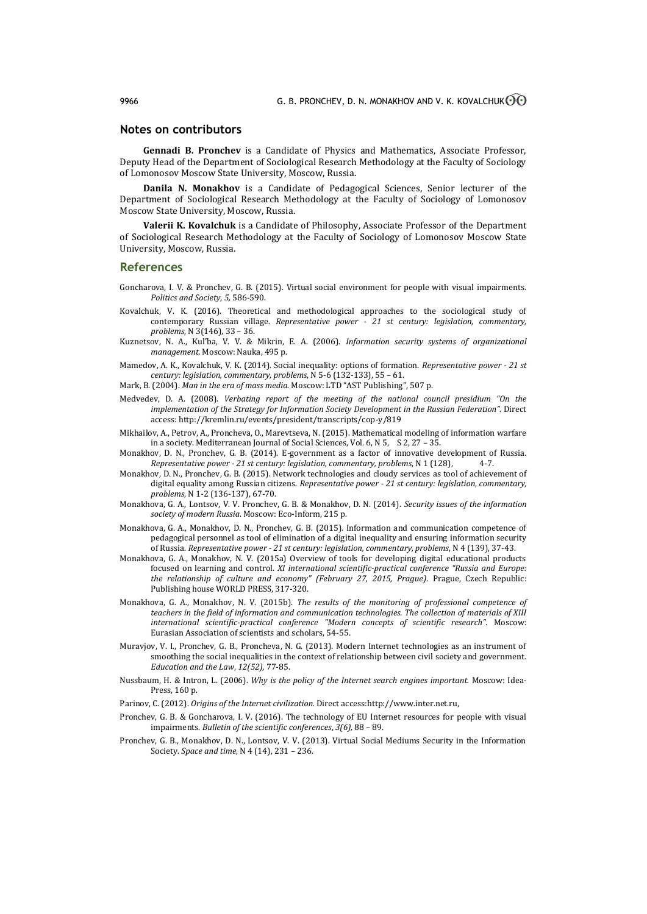## **Notes on contributors**

**Gennadi B. Pronchev** is a Candidate of Physics and Mathematics, Associate Professor, Deputy Head of the Department of Sociological Research Methodology at the Faculty of Sociology of Lomonosov Moscow State University, Moscow, Russia.

**Danila N. Monakhov** is a Candidate of Pedagogical Sciences, Senior lecturer of the Department of Sociological Research Methodology at the Faculty of Sociology of Lomonosov Moscow State University, Moscow, Russia.

**Valerii K. Kovalchuk** is a Candidate of Philosophy, Associate Professor of the Department of Sociological Research Methodology at the Faculty of Sociology of Lomonosov Moscow State University, Moscow, Russia.

### **References**

- Goncharova, I. V. & Pronchev, G. B. (2015). Virtual social environment for people with visual impairments. *Politics and Society*, *5,* 586-590.
- Kovalchuk, V. K. (2016). Theoretical and methodological approaches to the sociological study of contemporary Russian village. *Representative power - 21 st century: legislation, commentary, problems*, N 3(146), 33 – 36.
- Kuznetsov, N. A., Kul'ba, V. V. & Mikrin, E. A. (2006). *Information security systems of organizational management.* Moscow: Nauka, 495 p.
- Mamedov, A. K., Kovalchuk, V. K. (2014). Social inequality: options of formation. *Representative power - 21 st century: legislation, commentary, problems*, N 5-6 (132-133), 55 – 61.
- Mark, B. (2004). *Man in the era of mass media.* Moscow: LTD "AST Publishing", 507 p.
- Medvedev, D. A. (2008). *Verbating report of the meeting of the national council presidium "On the implementation of the Strategy for Information Society Development in the Russian Federation".* Direct access: http://kremlin.ru/events/president/transcripts/cop-y/819
- Mikhailov, A., Petrov, A., Proncheva, O., Marevtseva, N. (2015). Mathematical modeling of information warfare in a society. Mediterranean Journal of Social Sciences, Vol. 6, N 5, S 2, 27 – 35.
- Monakhov, D. N., Pronchev, G. B. (2014). E-government as a factor of innovative development of Russia. *Representative power - 21 st century: legislation, commentary, problems*, N 1 (128), 4-7.
- Monakhov, D. N., Pronchev, G. B. (2015). Network technologies and cloudy services as tool of achievement of digital equality among Russian citizens. *Representative power - 21 st century: legislation, commentary, problems*, N 1-2 (136-137), 67-70.
- Monakhova, G. A., Lontsov, V. V. Pronchev, G. B. & Monakhov, D. N. (2014). *Security issues of the information society of modern Russia*. Moscow: Eco-Inform, 215 p.
- Monakhova, G. A., Monakhov, D. N., Pronchev, G. B. (2015). Information and communication competence of pedagogical personnel as tool of elimination of a digital inequality and ensuring information security of Russia. *Representative power - 21 st century: legislation, commentary, problems*, N 4 (139), 37-43.
- Monakhova, G. A., Monakhov, N. V. (2015a) Overview of tools for developing digital educational products focused on learning and control. *XI international scientific-practical conference "Russia and Europe: the relationship of culture and economy" (February 27, 2015, Prague)*. Prague, Czech Republic: Publishing house WORLD PRESS, 317-320.
- Monakhova, G. A., Monakhov, N. V. (2015b). *The results of the monitoring of professional competence of teachers in the field of information and communication technologies. The collection of materials of XIII international scientific-practical conference "Modern concepts of scientific research".* Moscow: Eurasian Association of scientists and scholars, 54-55.
- Muravjov, V. I., Pronchev, G. B., Proncheva, N. G. (2013). Modern Internet technologies as an instrument of smoothing the social inequalities in the context of relationship between civil society and government. *Education and the Law*, *12(52),* 77-85.
- Nussbaum, H. & Intron, L. (2006). *Why is the policy of the Internet search engines important.* Moscow: Idea-Press, 160 p.
- Parinov, C. (2012). *Origins of the Internet civilization.* Direct access:http://www.inter.net.ru,
- Pronchev, G. B. & Goncharova, I. V. (2016). The technology of EU Internet resources for people with visual impairments. *Bulletin of the scientific conferences*, *3(6),* 88 – 89.
- Pronchev, G. B., Monakhov, D. N., Lontsov, V. V. (2013). Virtual Social Mediums Security in the Information Society. *Space and time*, N 4 (14), 231 – 236.